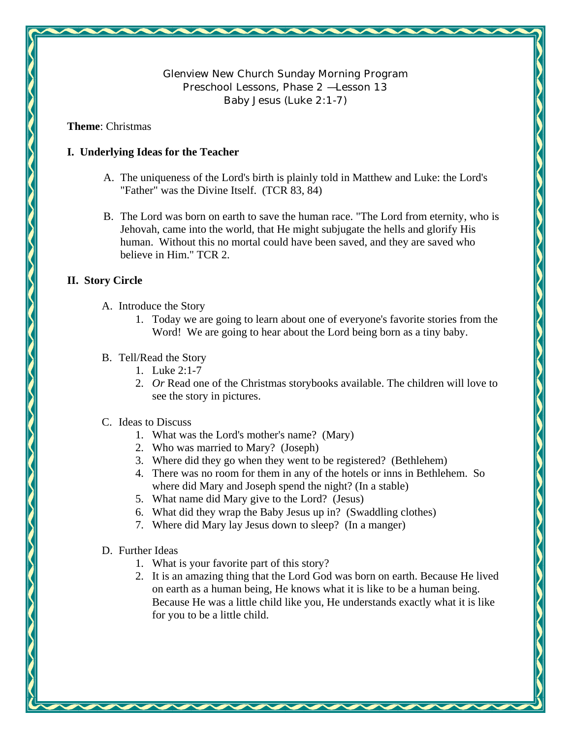**Glenview New Church Sunday Morning Program Preschool Lessons, Phase 2 — Lesson 13 Baby Jesus (Luke 2:1-7)** 

### **Theme**: Christmas

# **I. Underlying Ideas for the Teacher**

- A. The uniqueness of the Lord's birth is plainly told in Matthew and Luke: the Lord's "Father" was the Divine Itself. (TCR 83, 84)
- B. The Lord was born on earth to save the human race. "The Lord from eternity, who is Jehovah, came into the world, that He might subjugate the hells and glorify His human. Without this no mortal could have been saved, and they are saved who believe in Him." TCR 2.

# **II. Story Circle**

- A. Introduce the Story
	- 1. Today we are going to learn about one of everyone's favorite stories from the Word! We are going to hear about the Lord being born as a tiny baby.

# B. Tell/Read the Story

- 1. Luke 2:1-7
- 2. *Or* Read one of the Christmas storybooks available. The children will love to see the story in pictures.

# C. Ideas to Discuss

- 1. What was the Lord's mother's name? (Mary)
- 2. Who was married to Mary? (Joseph)
- 3. Where did they go when they went to be registered? (Bethlehem)
- 4. There was no room for them in any of the hotels or inns in Bethlehem. So where did Mary and Joseph spend the night? (In a stable)
- 5. What name did Mary give to the Lord? (Jesus)
- 6. What did they wrap the Baby Jesus up in? (Swaddling clothes)
- 7. Where did Mary lay Jesus down to sleep? (In a manger)
- D. Further Ideas
	- 1. What is your favorite part of this story?
	- 2. It is an amazing thing that the Lord God was born on earth. Because He lived on earth as a human being, He knows what it is like to be a human being. Because He was a little child like you, He understands exactly what it is like for you to be a little child.